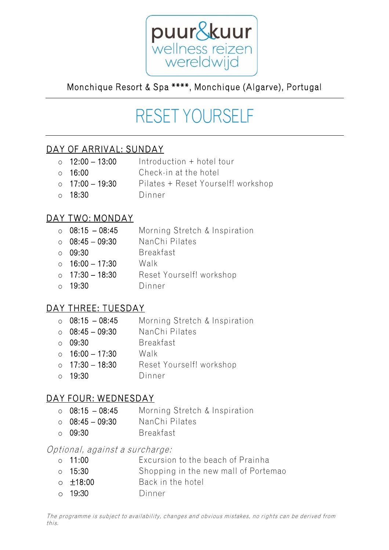

## Monchique Resort & Spa \*\*\*\*, Monchique (Algarve), Portugal

# RESET YOURSELF

#### DAY OF ARRIVAL: SUNDAY

- $\circ$  12:00 13:00 Introduction + hotel tour
- o 16:00 Check-in at the hotel
- o 17:00 19:30 Pilates + Reset Yourself! workshop
- o 18:30 Dinner

#### DAY TWO: MONDAY

|           | $\circ$ 08:15 - 08:45 | Morning Stretch & Inspiration |
|-----------|-----------------------|-------------------------------|
|           | $\circ$ 08:45 - 09:30 | NanChi Pilates                |
| $\bigcap$ | 09:30                 | <b>Breakfast</b>              |
|           | $\circ$ 16:00 - 17:30 | Walk                          |
|           | $\circ$ 17:30 - 18:30 | Reset Yourself! workshop      |
|           | $\circ$ 19:30         | Dinner                        |
|           |                       |                               |

#### DAY THREE: TUESDAY

| Morning Stretch & Inspiration                                                                                                      |
|------------------------------------------------------------------------------------------------------------------------------------|
| NanChi Pilates                                                                                                                     |
| <b>Breakfast</b>                                                                                                                   |
| Walk                                                                                                                               |
| Reset Yourself! workshop                                                                                                           |
| Dinner                                                                                                                             |
| $\circ$ 08:15 - 08:45<br>$\circ$ 08:45 - 09:30<br>$\circ$ 09:30<br>$\circ$ 16:00 - 17:30<br>$\circ$ 17:30 - 18:30<br>$\circ$ 19:30 |

#### DAY FOUR: WEDNESDAY

- o 08:15 08:45 Morning Stretch & Inspiration
- o 08:45 09:30 NanChi Pilates
- o 09:30 Breakfast

#### Optional, against a surcharge:

- o 11:00 Excursion to the beach of Prainha
- o 15:30 Shopping in the new mall of Portemao
- o ±18:00 Back in the hotel
- o 19:30 Dinner

The programme is subject to availability, changes and obvious mistakes, no rights can be derived from this.